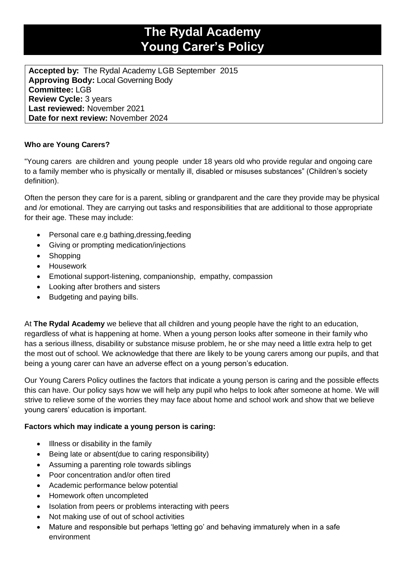# **The Rydal Academy Young Carer's Policy**

**Accepted by:** The Rydal Academy LGB September 2015 **Approving Body:** Local Governing Body **Committee:** LGB **Review Cycle:** 3 years **Last reviewed:** November 2021 **Date for next review:** November 2024

## **Who are Young Carers?**

"Young carers are children and young people under 18 years old who provide regular and ongoing care to a family member who is physically or mentally ill, disabled or misuses substances" (Children's society definition).

Often the person they care for is a parent, sibling or grandparent and the care they provide may be physical and /or emotional. They are carrying out tasks and responsibilities that are additional to those appropriate for their age. These may include:

- Personal care e.g bathing,dressing,feeding
- Giving or prompting medication/injections
- Shopping
- Housework
- Emotional support-listening, companionship, empathy, compassion
- Looking after brothers and sisters
- Budgeting and paying bills.

At **The Rydal Academy** we believe that all children and young people have the right to an education, regardless of what is happening at home. When a young person looks after someone in their family who has a serious illness, disability or substance misuse problem, he or she may need a little extra help to get the most out of school. We acknowledge that there are likely to be young carers among our pupils, and that being a young carer can have an adverse effect on a young person's education.

Our Young Carers Policy outlines the factors that indicate a young person is caring and the possible effects this can have. Our policy says how we will help any pupil who helps to look after someone at home. We will strive to relieve some of the worries they may face about home and school work and show that we believe young carers' education is important.

### **Factors which may indicate a young person is caring:**

- Illness or disability in the family
- Being late or absent(due to caring responsibility)
- Assuming a parenting role towards siblings
- Poor concentration and/or often tired
- Academic performance below potential
- Homework often uncompleted
- Isolation from peers or problems interacting with peers
- Not making use of out of school activities
- Mature and responsible but perhaps 'letting go' and behaving immaturely when in a safe environment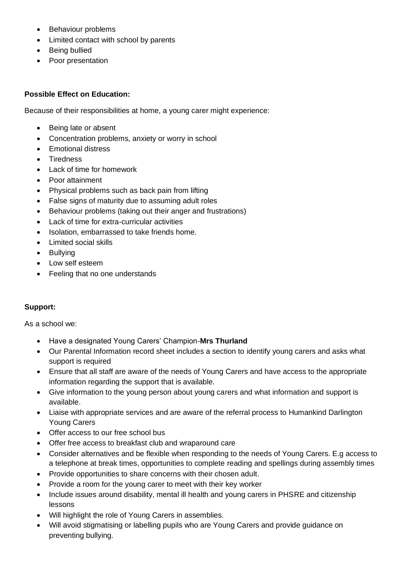- Behaviour problems
- Limited contact with school by parents
- Being bullied
- Poor presentation

### **Possible Effect on Education:**

Because of their responsibilities at home, a young carer might experience:

- Being late or absent
- Concentration problems, anxiety or worry in school
- Emotional distress
- **Tiredness**
- Lack of time for homework
- Poor attainment
- Physical problems such as back pain from lifting
- False signs of maturity due to assuming adult roles
- Behaviour problems (taking out their anger and frustrations)
- Lack of time for extra-curricular activities
- Isolation, embarrassed to take friends home.
- Limited social skills
- Bullying
- Low self esteem
- Feeling that no one understands

### **Support:**

As a school we:

- Have a designated Young Carers' Champion-**Mrs Thurland**
- Our Parental Information record sheet includes a section to identify young carers and asks what support is required
- Ensure that all staff are aware of the needs of Young Carers and have access to the appropriate information regarding the support that is available.
- Give information to the young person about young carers and what information and support is available.
- Liaise with appropriate services and are aware of the referral process to Humankind Darlington Young Carers
- Offer access to our free school bus
- Offer free access to breakfast club and wraparound care
- Consider alternatives and be flexible when responding to the needs of Young Carers. E.g access to a telephone at break times, opportunities to complete reading and spellings during assembly times
- Provide opportunities to share concerns with their chosen adult.
- Provide a room for the young carer to meet with their key worker
- Include issues around disability, mental ill health and young carers in PHSRE and citizenship lessons
- Will highlight the role of Young Carers in assemblies.
- Will avoid stigmatising or labelling pupils who are Young Carers and provide guidance on preventing bullying.